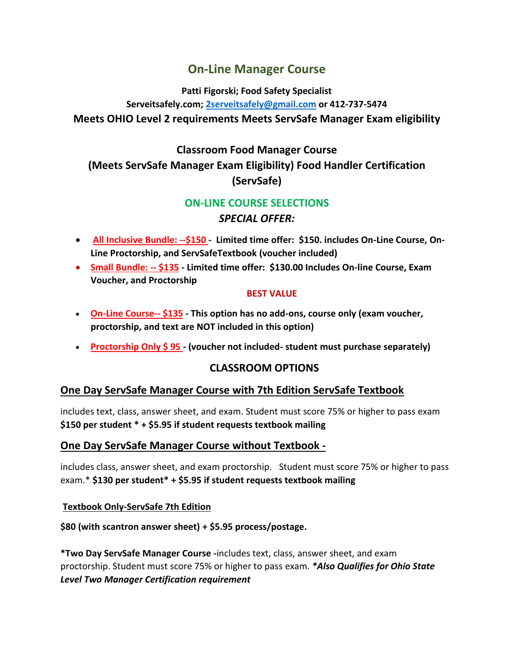# **On-Line Manager Course**

**Patti Figorski; Food Safety Specialist** 

**Serveitsafely.com; [2serveitsafely@gmail.com](mailto:2serveitsafely@gmail.com) or 412-737-5474 Meets OHIO Level 2 requirements Meets ServSafe Manager Exam eligibility**

# **Classroom Food Manager Course (Meets ServSafe Manager Exam Eligibility) Food Handler Certification (ServSafe)**

## **ON-LINE COURSE SELECTIONS**

## *SPECIAL OFFER:*

- **All Inclusive Bundle: --\$150 Limited time offer: \$150. includes On-Line Course, On-Line Proctorship, and ServSafeTextbook (voucher included)**
- **Small Bundle: -- \$135 - Limited time offer: \$130.00 Includes On-line Course, Exam Voucher, and Proctorship**

#### **BEST VALUE**

- **On-Line Course-- \$135 - This option has no add-ons, course only (exam voucher, proctorship, and text are NOT included in this option)**
- **Proctorship Only \$ 95 - (voucher not included- student must purchase separately)**

## **CLASSROOM OPTIONS**

## **One Day ServSafe Manager Course with 7th Edition ServSafe Textbook**

includes text, class, answer sheet, and exam. Student must score 75% or higher to pass exam **\$150 per student \* + \$5.95 if student requests textbook mailing**

### **One Day ServSafe Manager Course without Textbook -**

includes class, answer sheet, and exam proctorship. Student must score 75% or higher to pass exam.\* **\$130 per student\* + \$5.95 if student requests textbook mailing**

#### **Textbook Only-ServSafe 7th Edition**

**\$80 (with scantron answer sheet) + \$5.95 process/postage.**

**\*Two Day ServSafe Manager Course -**includes text, class, answer sheet, and exam proctorship. Student must score 75% or higher to pass exam. *\*Also Qualifies for Ohio State Level Two Manager Certification requirement*